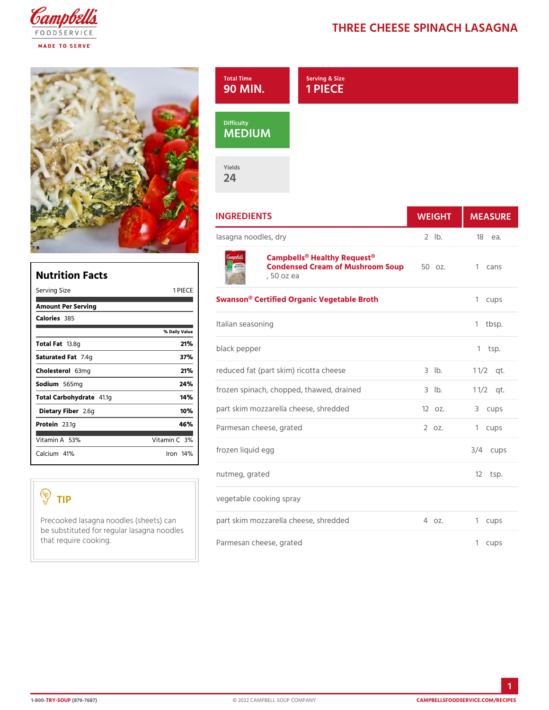## THREE CHEESE SPINACH

|                                            |                      | Serving & Size<br>Total Time<br>90<br>PIECE<br><b>MIN</b><br>1<br>Difficulty<br>MEDIUM<br>Yields |            |              |
|--------------------------------------------|----------------------|--------------------------------------------------------------------------------------------------|------------|--------------|
|                                            |                      | 24<br><b>INGREDIENTS</b>                                                                         | WEIGH      | MEASU        |
|                                            |                      | lasagna noodles, dry                                                                             | $2$ $1b$ . | 18 еа.       |
|                                            |                      | Campbells <sup>®</sup> Healthy Request <sup>®</sup>                                              |            |              |
| <b>Nutrition Facts</b>                     |                      | Condensed Cream of Mushroom zSoup1 cans<br>. 50 oz ea                                            |            |              |
| Serving Size                               | 1 PIECE              | Swanson® Certified Organic Vegetable Broth 1 cups                                                |            |              |
| Amount Per Serving                         |                      |                                                                                                  |            |              |
| Calorie385                                 |                      | Italian seasoning                                                                                |            | 1 tbsp.      |
| Total Fa3.8g                               | % Daily Value<br>21% |                                                                                                  |            |              |
| Saturated 7F. 4tg                          | 37%                  | black pepper                                                                                     |            | $1$ tsp.     |
| Choleste6&mg                               | 21%                  | reduced fat (part skim) ricotta chees3elb.                                                       |            | $1 \t1/2qt.$ |
| Sodium 565mg                               | 24%                  |                                                                                                  |            |              |
| Total Carbohy 41 atg                       | 14%                  | frozen spinach, chopped, thawed, drainted                                                        |            | $1 \t1/2qt.$ |
| Dietary F2ib®eg                            | 10%                  | part skim mozzarella cheese, shred de2doz.                                                       |            | 3 cups       |
| Protei <sub>23.1g</sub>                    | 46%                  | Parmesan cheese, grated                                                                          | 2 oz.      | 1 cups       |
| Vitamin5A8%                                | Vitamin3@            |                                                                                                  |            |              |
| Calcium <sup>4</sup> %                     | $l$ ron 14 $\%$      | frozen liquid egg                                                                                |            | $3/4$ cups   |
|                                            |                      | nutmeg, grated                                                                                   |            | $12$ tsp.    |
| TIP                                        |                      | vegetable cooking spray                                                                          |            |              |
| be substituted for regular lasagna noodles |                      | Precooked lasagna noodles (shpeaents skiam mozzarella cheese, shredd4edoz.                       |            | 1 cups       |
| that require cooking.                      |                      | Parmesan cheese, grated                                                                          |            | 1 cups       |